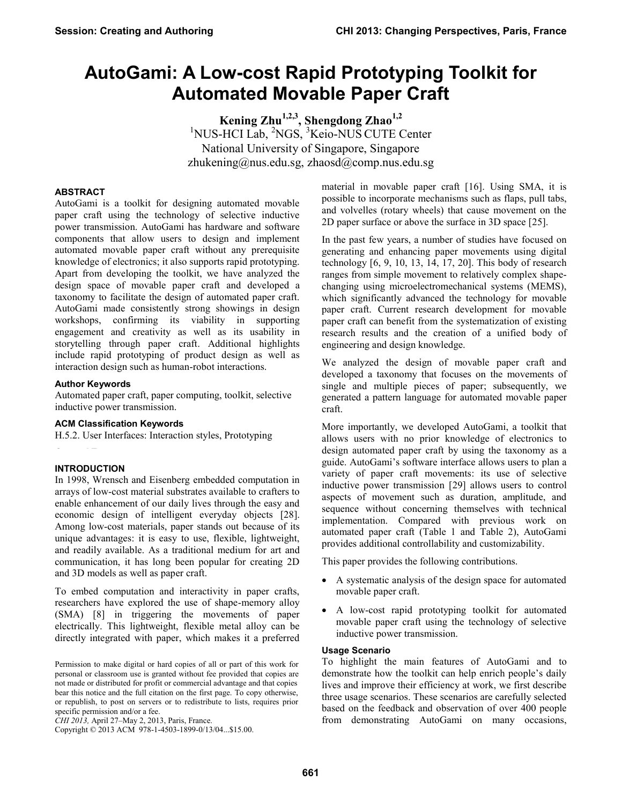# **AutoGami: A Low-cost Rapid Prototyping Toolkit for Automated Movable Paper Craft**

**Kening Zhu1,2,3, Shengdong Zhao1,2** <sup>1</sup>NUS-HCI Lab, <sup>2</sup>NGS, <sup>3</sup>Keio-NUS CUTE Center National University of Singapore, Singapore [zhukening@nus.edu.sg,](mailto:zhukening@nus.edu.sg) [zhaosd@comp.nus.edu.sg](mailto:zhaosd@comp.nus.edu.sg)

## **ABSTRACT**

AutoGami is a toolkit for designing automated movable paper craft using the technology of selective inductive power transmission. AutoGami has hardware and software components that allow users to design and implement automated movable paper craft without any prerequisite knowledge of electronics; it also supports rapid prototyping. Apart from developing the toolkit, we have analyzed the design space of movable paper craft and developed a taxonomy to facilitate the design of automated paper craft. AutoGami made consistently strong showings in design workshops, confirming its viability in supporting engagement and creativity as well as its usability in storytelling through paper craft. Additional highlights include rapid prototyping of product design as well as interaction design such as human-robot interactions.

## **Author Keywords**

Automated paper craft, paper computing, toolkit, selective inductive power transmission.

#### **ACM Classification Keywords**

H.5.2. User Interfaces: Interaction styles, Prototyping

## **INTRODUCTION**

In 1998, Wrensch and Eisenberg embedded computation in arrays of low-cost material substrates available to crafters to enable enhancement of our daily lives through the easy and economic design of intelligent everyday objects [\[28\]](#page-9-0). Among low-cost materials, paper stands out because of its unique advantages: it is easy to use, flexible, lightweight, and readily available. As a traditional medium for art and communication, it has long been popular for creating 2D and 3D models as well as paper craft.

To embed computation and interactivity in paper crafts, researchers have explored the use of shape-memory alloy (SMA) [\[8\]](#page-9-1) in triggering the movements of paper electrically. This lightweight, flexible metal alloy can be directly integrated with paper, which makes it a preferred

Copyright © 2013 ACM 978-1-4503-1899-0/13/04...\$15.00.

material in movable paper craft [\[16\]](#page-9-2). Using SMA, it is possible to incorporate mechanisms such as flaps, pull tabs, and volvelles (rotary wheels) that cause movement on the 2D paper surface or above the surface in 3D space [\[25\]](#page-9-3).

In the past few years, a number of studies have focused on generating and enhancing paper movements using digital technology [\[6,](#page-9-4) [9,](#page-9-5) [10,](#page-9-6) [13,](#page-9-7) [14,](#page-9-8) [17,](#page-9-9) [20\]](#page-9-10). This body of research ranges from simple movement to relatively complex shapechanging using microelectromechanical systems (MEMS), which significantly advanced the technology for movable paper craft. Current research development for movable paper craft can benefit from the systematization of existing research results and the creation of a unified body of engineering and design knowledge.

We analyzed the design of movable paper craft and developed a taxonomy that focuses on the movements of single and multiple pieces of paper; subsequently, we generated a pattern language for automated movable paper craft.

More importantly, we developed AutoGami, a toolkit that allows users with no prior knowledge of electronics to design automated paper craft by using the taxonomy as a guide. AutoGami's software interface allows users to plan a variety of paper craft movements: its use of selective inductive power transmission [\[29\]](#page-9-11) allows users to control aspects of movement such as duration, amplitude, and sequence without concerning themselves with technical implementation. Compared with previous work on automated paper craft (Table 1 and Table 2), AutoGami provides additional controllability and customizability.

This paper provides the following contributions.

- A systematic analysis of the design space for automated movable paper craft.
- A low-cost rapid prototyping toolkit for automated movable paper craft using the technology of selective inductive power transmission.

#### **Usage Scenario**

To highlight the main features of AutoGami and to demonstrate how the toolkit can help enrich people's daily lives and improve their efficiency at work, we first describe three usage scenarios. These scenarios are carefully selected based on the feedback and observation of over 400 people from demonstrating AutoGami on many occasions,

Permission to make digital or hard copies of all or part of this work for personal or classroom use is granted without fee provided that copies are not made or distributed for profit or commercial advantage and that copies bear this notice and the full citation on the first page. To copy otherwise, or republish, to post on servers or to redistribute to lists, requires prior specific permission and/or a fee.

*CHI 2013,* April 27–May 2, 2013, Paris, France.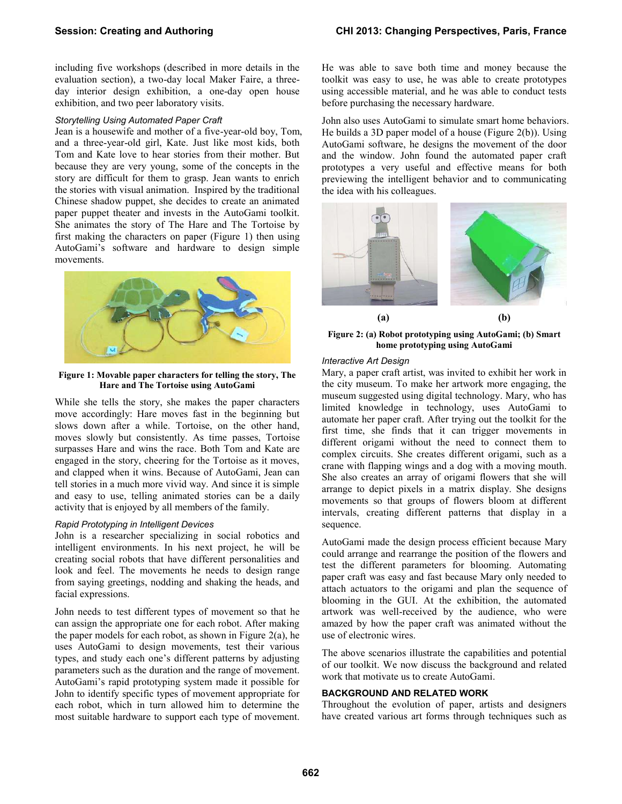including five workshops (described in more details in the evaluation section), a two-day local Maker Faire, a threeday interior design exhibition, a one-day open house exhibition, and two peer laboratory visits.

#### *Storytelling Using Automated Paper Craft*

Jean is a housewife and mother of a five-year-old boy, Tom, and a three-year-old girl, Kate. Just like most kids, both Tom and Kate love to hear stories from their mother. But because they are very young, some of the concepts in the story are difficult for them to grasp. Jean wants to enrich the stories with visual animation. Inspired by the traditional Chinese shadow puppet, she decides to create an animated paper puppet theater and invests in the AutoGami toolkit. She animates the story of The Hare and The Tortoise by first making the characters on paper (Figure 1) then using AutoGami's software and hardware to design simple movements.



**Figure 1: Movable paper characters for telling the story, The Hare and The Tortoise using AutoGami** 

While she tells the story, she makes the paper characters move accordingly: Hare moves fast in the beginning but slows down after a while. Tortoise, on the other hand, moves slowly but consistently. As time passes, Tortoise surpasses Hare and wins the race. Both Tom and Kate are engaged in the story, cheering for the Tortoise as it moves, and clapped when it wins. Because of AutoGami, Jean can tell stories in a much more vivid way. And since it is simple and easy to use, telling animated stories can be a daily activity that is enjoyed by all members of the family.

#### *Rapid Prototyping in Intelligent Devices*

John is a researcher specializing in social robotics and intelligent environments. In his next project, he will be creating social robots that have different personalities and look and feel. The movements he needs to design range from saying greetings, nodding and shaking the heads, and facial expressions.

John needs to test different types of movement so that he can assign the appropriate one for each robot. After making the paper models for each robot, as shown in Figure  $2(a)$ , he uses AutoGami to design movements, test their various types, and study each one's different patterns by adjusting parameters such as the duration and the range of movement. AutoGami's rapid prototyping system made it possible for John to identify specific types of movement appropriate for each robot, which in turn allowed him to determine the most suitable hardware to support each type of movement. He was able to save both time and money because the toolkit was easy to use, he was able to create prototypes using accessible material, and he was able to conduct tests before purchasing the necessary hardware.

John also uses AutoGami to simulate smart home behaviors. He builds a 3D paper model of a house (Figure 2(b)). Using AutoGami software, he designs the movement of the door and the window. John found the automated paper craft prototypes a very useful and effective means for both previewing the intelligent behavior and to communicating the idea with his colleagues.



**Figure 2: (a) Robot prototyping using AutoGami; (b) Smart home prototyping using AutoGami** 

#### *Interactive Art Design*

Mary, a paper craft artist, was invited to exhibit her work in the city museum. To make her artwork more engaging, the museum suggested using digital technology. Mary, who has limited knowledge in technology, uses AutoGami to automate her paper craft. After trying out the toolkit for the first time, she finds that it can trigger movements in different origami without the need to connect them to complex circuits. She creates different origami, such as a crane with flapping wings and a dog with a moving mouth. She also creates an array of origami flowers that she will arrange to depict pixels in a matrix display. She designs movements so that groups of flowers bloom at different intervals, creating different patterns that display in a sequence.

AutoGami made the design process efficient because Mary could arrange and rearrange the position of the flowers and test the different parameters for blooming. Automating paper craft was easy and fast because Mary only needed to attach actuators to the origami and plan the sequence of blooming in the GUI. At the exhibition, the automated artwork was well-received by the audience, who were amazed by how the paper craft was animated without the use of electronic wires.

The above scenarios illustrate the capabilities and potential of our toolkit. We now discuss the background and related work that motivate us to create AutoGami.

## **BACKGROUND AND RELATED WORK**

Throughout the evolution of paper, artists and designers have created various art forms through techniques such as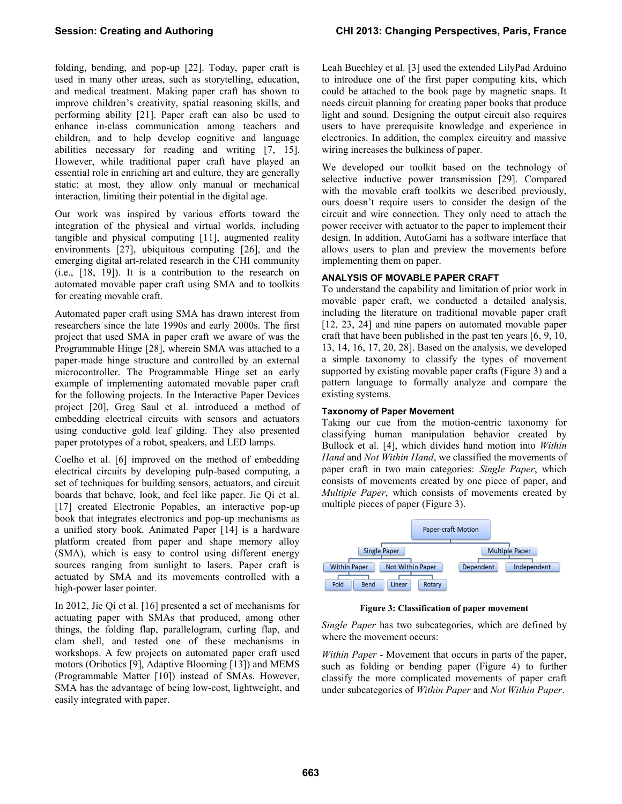folding, bending, and pop-up [\[22\]](#page-9-12). Today, paper craft is used in many other areas, such as storytelling, education, and medical treatment. Making paper craft has shown to improve children's creativity, spatial reasoning skills, and performing ability [\[21\]](#page-9-13). Paper craft can also be used to enhance in-class communication among teachers and children, and to help develop cognitive and language abilities necessary for reading and writing [\[7,](#page-9-14) [15\]](#page-9-15). However, while traditional paper craft have played an essential role in enriching art and culture, they are generally static; at most, they allow only manual or mechanical interaction, limiting their potential in the digital age.

Our work was inspired by various efforts toward the integration of the physical and virtual worlds, including tangible and physical computing [\[11\]](#page-9-16), augmented reality environments [\[27\]](#page-9-17), ubiquitous computing [\[26\]](#page-9-18), and the emerging digital art-related research in the CHI community (i.e., [\[18,](#page-9-19) [19\]](#page-9-20)). It is a contribution to the research on automated movable paper craft using SMA and to toolkits for creating movable craft.

Automated paper craft using SMA has drawn interest from researchers since the late 1990s and early 2000s. The first project that used SMA in paper craft we aware of was the Programmable Hinge [\[28\]](#page-9-0), wherein SMA was attached to a paper-made hinge structure and controlled by an external microcontroller. The Programmable Hinge set an early example of implementing automated movable paper craft for the following projects. In the Interactive Paper Devices project [\[20\]](#page-9-10), Greg Saul et al. introduced a method of embedding electrical circuits with sensors and actuators using conductive gold leaf gilding. They also presented paper prototypes of a robot, speakers, and LED lamps.

Coelho et al. [\[6\]](#page-9-4) improved on the method of embedding electrical circuits by developing pulp-based computing, a set of techniques for building sensors, actuators, and circuit boards that behave, look, and feel like paper. Jie Qi et al. [\[17\]](#page-9-9) created Electronic Popables, an interactive pop-up book that integrates electronics and pop-up mechanisms as a unified story book. Animated Paper [\[14\]](#page-9-8) is a hardware platform created from paper and shape memory alloy (SMA), which is easy to control using different energy sources ranging from sunlight to lasers. Paper craft is actuated by SMA and its movements controlled with a high-power laser pointer.

In 2012, Jie Qi et al. [\[16\]](#page-9-2) presented a set of mechanisms for actuating paper with SMAs that produced, among other things, the folding flap, parallelogram, curling flap, and clam shell, and tested one of these mechanisms in workshops. A few projects on automated paper craft used motors (Oribotics [\[9\]](#page-9-5), Adaptive Blooming [\[13\]](#page-9-7)) and MEMS (Programmable Matter [\[10\]](#page-9-6)) instead of SMAs. However, SMA has the advantage of being low-cost, lightweight, and easily integrated with paper.

Leah Buechley et al. [\[3\]](#page-9-21) used the extended LilyPad Arduino to introduce one of the first paper computing kits, which could be attached to the book page by magnetic snaps. It needs circuit planning for creating paper books that produce light and sound. Designing the output circuit also requires users to have prerequisite knowledge and experience in electronics. In addition, the complex circuitry and massive wiring increases the bulkiness of paper.

We developed our toolkit based on the technology of selective inductive power transmission [\[29\]](#page-9-11). Compared with the movable craft toolkits we described previously, ours doesn't require users to consider the design of the circuit and wire connection. They only need to attach the power receiver with actuator to the paper to implement their design. In addition, AutoGami has a software interface that allows users to plan and preview the movements before implementing them on paper.

# **ANALYSIS OF MOVABLE PAPER CRAFT**

To understand the capability and limitation of prior work in movable paper craft, we conducted a detailed analysis, including the literature on traditional movable paper craft [\[12,](#page-9-22) [23,](#page-9-23) [24\]](#page-9-24) and nine papers on automated movable paper craft that have been published in the past ten years [\[6,](#page-9-4) [9,](#page-9-5) [10,](#page-9-6) [13,](#page-9-7) [14,](#page-9-8) [16,](#page-9-2) [17,](#page-9-9) [20,](#page-9-10) [28\]](#page-9-0). Based on the analysis, we developed a simple taxonomy to classify the types of movement supported by existing movable paper crafts (Figure 3) and a pattern language to formally analyze and compare the existing systems.

## **Taxonomy of Paper Movement**

Taking our cue from the motion-centric taxonomy for classifying human manipulation behavior created by Bullock et al. [\[4\]](#page-9-25), which divides hand motion into *Within Hand* and *Not Within Hand*, we classified the movements of paper craft in two main categories: *Single Paper*, which consists of movements created by one piece of paper, and *Multiple Paper*, which consists of movements created by multiple pieces of paper (Figure 3).



**Figure 3: Classification of paper movement** 

*Single Paper* has two subcategories, which are defined by where the movement occurs:

*Within Paper* - Movement that occurs in parts of the paper, such as folding or bending paper (Figure 4) to further classify the more complicated movements of paper craft under subcategories of *Within Paper* and *Not Within Paper*.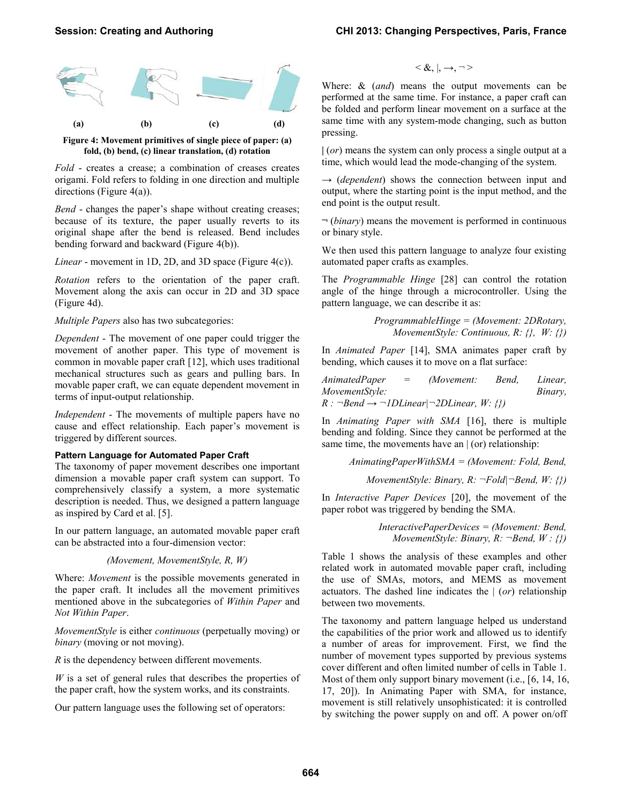

**Figure 4: Movement primitives of single piece of paper: (a) fold, (b) bend, (c) linear translation, (d) rotation** 

*Fold* - creates a crease; a combination of creases creates origami. Fold refers to folding in one direction and multiple directions (Figure 4(a)).

*Bend* - changes the paper's shape without creating creases; because of its texture, the paper usually reverts to its original shape after the bend is released. Bend includes bending forward and backward (Figure 4(b)).

*Linear* - movement in 1D, 2D, and 3D space (Figure 4(c)).

*Rotation* refers to the orientation of the paper craft. Movement along the axis can occur in 2D and 3D space (Figure 4d).

*Multiple Papers* also has two subcategories:

*Dependent* - The movement of one paper could trigger the movement of another paper. This type of movement is common in movable paper craft [\[12\]](#page-9-22), which uses traditional mechanical structures such as gears and pulling bars. In movable paper craft, we can equate dependent movement in terms of input-output relationship.

*Independent* - The movements of multiple papers have no cause and effect relationship. Each paper's movement is triggered by different sources.

## **Pattern Language for Automated Paper Craft**

The taxonomy of paper movement describes one important dimension a movable paper craft system can support. To comprehensively classify a system, a more systematic description is needed. Thus, we designed a pattern language as inspired by Card et al. [\[5\]](#page-9-26).

In our pattern language, an automated movable paper craft can be abstracted into a four-dimension vector:

## *(Movement, MovementStyle, R, W)*

Where: *Movement* is the possible movements generated in the paper craft. It includes all the movement primitives mentioned above in the subcategories of *Within Paper* and *Not Within Paper*.

*MovementStyle* is either *continuous* (perpetually moving) or *binary* (moving or not moving).

*R* is the dependency between different movements.

*W* is a set of general rules that describes the properties of the paper craft, how the system works, and its constraints.

Our pattern language uses the following set of operators:

 $<\&$ ,  $|, \rightarrow, \neg>$ 

Where: & (*and*) means the output movements can be performed at the same time. For instance, a paper craft can be folded and perform linear movement on a surface at the same time with any system-mode changing, such as button pressing.

**|** (*or*) means the system can only process a single output at a time, which would lead the mode-changing of the system.

**→** (*dependent*) shows the connection between input and output, where the starting point is the input method, and the end point is the output result.

**¬** (*binary*) means the movement is performed in continuous or binary style.

We then used this pattern language to analyze four existing automated paper crafts as examples.

The *Programmable Hinge* [\[28\]](#page-9-0) can control the rotation angle of the hinge through a microcontroller. Using the pattern language, we can describe it as:

> *ProgrammableHinge = (Movement: 2DRotary, MovementStyle: Continuous, R: {}, W: {})*

In *Animated Paper* [\[14\]](#page-9-8), SMA animates paper craft by bending, which causes it to move on a flat surface:

| <i>AnimatedPaper</i>                                                                 | $=$ | (Movement: | Bend. | Linear. |
|--------------------------------------------------------------------------------------|-----|------------|-------|---------|
| MovementStyle:                                                                       |     |            |       | Binary, |
| $R: \neg \text{Bend} \rightarrow \neg \text{IDLinear} \neg \text{2DLinear}, W: \{\}$ |     |            |       |         |

In *Animating Paper with SMA* [\[16\]](#page-9-2), there is multiple bending and folding. Since they cannot be performed at the same time, the movements have an  $\vert$  (or) relationship:

*AnimatingPaperWithSMA = (Movement: Fold, Bend,* 

*MovementStyle: Binary, R: ¬Fold|¬Bend, W: {})*

In *Interactive Paper Devices* [\[20\]](#page-9-10), the movement of the paper robot was triggered by bending the SMA.

> *InteractivePaperDevices = (Movement: Bend, MovementStyle: Binary, R: ¬Bend, W : {})*

Table 1 shows the analysis of these examples and other related work in automated movable paper craft, including the use of SMAs, motors, and MEMS as movement actuators. The dashed line indicates the | (*or*) relationship between two movements.

The taxonomy and pattern language helped us understand the capabilities of the prior work and allowed us to identify a number of areas for improvement. First, we find the number of movement types supported by previous systems cover different and often limited number of cells in Table 1. Most of them only support binary movement (i.e., [\[6,](#page-9-4) [14,](#page-9-8) [16,](#page-9-2) [17,](#page-9-9) [20\]](#page-9-10)). In Animating Paper with SMA, for instance, movement is still relatively unsophisticated: it is controlled by switching the power supply on and off. A power on/off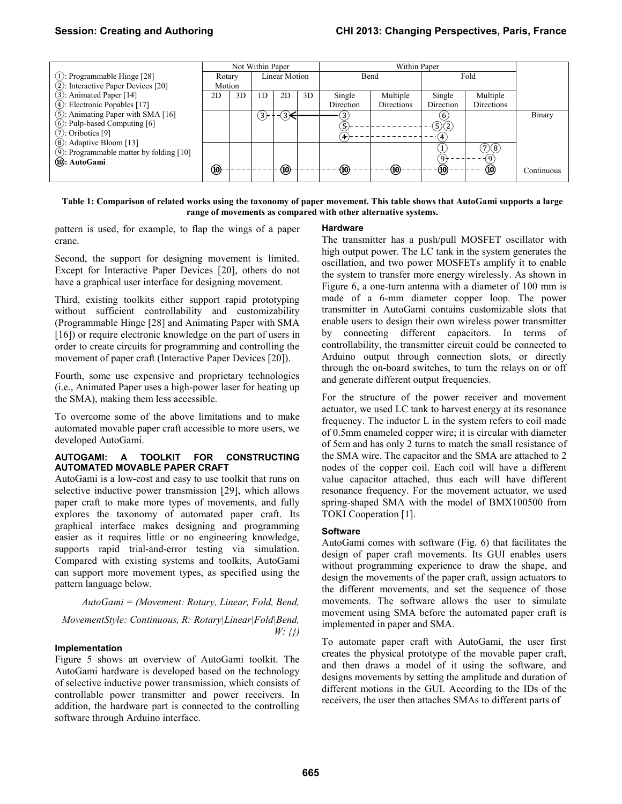|                                                                            | Not Within Paper |    |                  | Within Paper  |    |           |            |           |                   |            |
|----------------------------------------------------------------------------|------------------|----|------------------|---------------|----|-----------|------------|-----------|-------------------|------------|
| (1): Programmable Hinge [28]                                               | Rotary           |    |                  | Linear Motion |    |           | Bend       |           | Fold              |            |
| (2): Interactive Paper Devices [20]                                        | Motion           |    |                  |               |    |           |            |           |                   |            |
| (3): Animated Paper [14]                                                   | 2D               | 3D | 1D               | 2D            | 3D | Single    | Multiple   | Single    | Multiple          |            |
| (4): Electronic Popables [17]                                              |                  |    |                  |               |    | Direction | Directions | Direction | Directions        |            |
| $(5)$ : Animating Paper with SMA [16]                                      |                  |    | $\left[3\right]$ | 3★            |    | ຳ         |            |           |                   | Binary     |
| (6): Pulp-based Computing [6]                                              |                  |    |                  |               |    | 5         |            | G) 2      |                   |            |
| $(7)$ : Oribotics [9]                                                      |                  |    |                  |               |    | 4         |            | 4         |                   |            |
| $(8)$ : Adaptive Bloom [13]<br>$(9)$ : Programmable matter by folding [10] |                  |    |                  |               |    |           |            |           | $\mathfrak{I}(8)$ |            |
| (10): AutoGami                                                             |                  |    |                  |               |    |           |            | ٠a        |                   |            |
|                                                                            | ⑯                |    |                  | ⊕             |    | ☜         |            | ⑯         | $^{\rm (10)}$     | Continuous |
|                                                                            |                  |    |                  |               |    |           |            |           |                   |            |

**Table 1: Comparison of related works using the taxonomy of paper movement. This table shows that AutoGami supports a large range of movements as compared with other alternative systems.**

pattern is used, for example, to flap the wings of a paper crane.

Second, the support for designing movement is limited. Except for Interactive Paper Devices [\[20\]](#page-9-10), others do not have a graphical user interface for designing movement.

Third, existing toolkits either support rapid prototyping without sufficient controllability and customizability (Programmable Hinge [\[28\]](#page-9-0) and Animating Paper with SMA [\[16\]](#page-9-2)) or require electronic knowledge on the part of users in order to create circuits for programming and controlling the movement of paper craft (Interactive Paper Devices [\[20\]](#page-9-10)).

Fourth, some use expensive and proprietary technologies (i.e., Animated Paper uses a high-power laser for heating up the SMA), making them less accessible.

To overcome some of the above limitations and to make automated movable paper craft accessible to more users, we developed AutoGami.

#### **AUTOGAMI: A TOOLKIT FOR CONSTRUCTING AUTOMATED MOVABLE PAPER CRAFT**

AutoGami is a low-cost and easy to use toolkit that runs on selective inductive power transmission [\[29\]](#page-9-11), which allows paper craft to make more types of movements, and fully explores the taxonomy of automated paper craft. Its graphical interface makes designing and programming easier as it requires little or no engineering knowledge, supports rapid trial-and-error testing via simulation. Compared with existing systems and toolkits, AutoGami can support more movement types, as specified using the pattern language below.

*AutoGami = (Movement: Rotary, Linear, Fold, Bend, MovementStyle: Continuous, R: Rotary|Linear|Fold|Bend, W: {})*

## **Implementation**

Figure 5 shows an overview of AutoGami toolkit. The AutoGami hardware is developed based on the technology of selective inductive power transmission, which consists of controllable power transmitter and power receivers. In addition, the hardware part is connected to the controlling software through Arduino interface.

## **Hardware**

The transmitter has a push/pull MOSFET oscillator with high output power. The LC tank in the system generates the oscillation, and two power MOSFETs amplify it to enable the system to transfer more energy wirelessly. As shown in Figure 6, a one-turn antenna with a diameter of 100 mm is made of a 6-mm diameter copper loop. The power transmitter in AutoGami contains customizable slots that enable users to design their own wireless power transmitter by connecting different capacitors. In terms of controllability, the transmitter circuit could be connected to Arduino output through connection slots, or directly through the on-board switches, to turn the relays on or off and generate different output frequencies.

For the structure of the power receiver and movement actuator, we used LC tank to harvest energy at its resonance frequency. The inductor L in the system refers to coil made of 0.5mm enameled copper wire; it is circular with diameter of 5cm and has only 2 turns to match the small resistance of the SMA wire. The capacitor and the SMA are attached to 2 nodes of the copper coil. Each coil will have a different value capacitor attached, thus each will have different resonance frequency. For the movement actuator, we used spring-shaped SMA with the model of BMX100500 from TOKI Cooperation [\[1\]](#page-9-27).

## **Software**

AutoGami comes with software (Fig. 6) that facilitates the design of paper craft movements. Its GUI enables users without programming experience to draw the shape, and design the movements of the paper craft, assign actuators to the different movements, and set the sequence of those movements. The software allows the user to simulate movement using SMA before the automated paper craft is implemented in paper and SMA.

To automate paper craft with AutoGami, the user first creates the physical prototype of the movable paper craft, and then draws a model of it using the software, and designs movements by setting the amplitude and duration of different motions in the GUI. According to the IDs of the receivers, the user then attaches SMAs to different parts of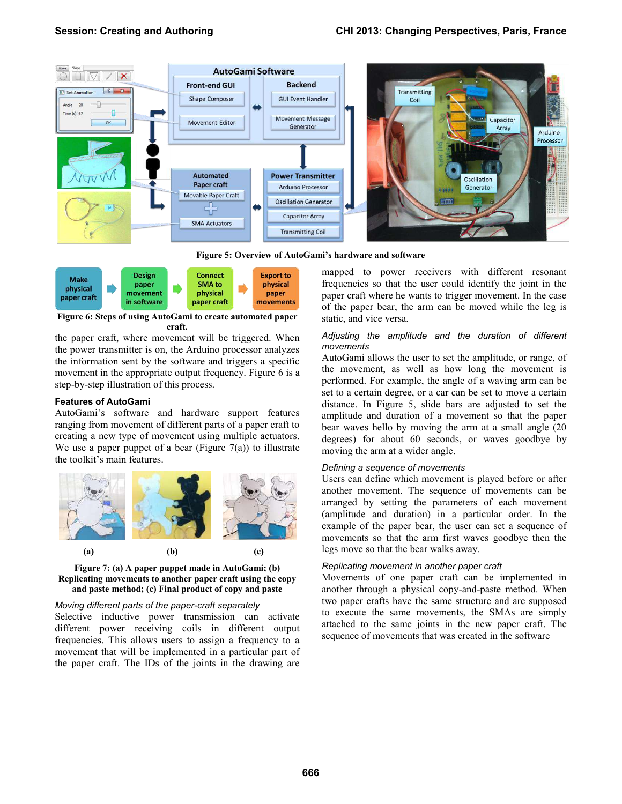

#### **Figure 5: Overview of AutoGami's hardware and software**



**Figure 6: Steps of using AutoGami to create automated paper craft.** 

the paper craft, where movement will be triggered. When the power transmitter is on, the Arduino processor analyzes the information sent by the software and triggers a specific movement in the appropriate output frequency. Figure 6 is a step-by-step illustration of this process.

## **Features of AutoGami**

AutoGami's software and hardware support features ranging from movement of different parts of a paper craft to creating a new type of movement using multiple actuators. We use a paper puppet of a bear (Figure  $7(a)$ ) to illustrate the toolkit's main features.





## *Moving different parts of the paper-craft separately*

Selective inductive power transmission can activate different power receiving coils in different output frequencies. This allows users to assign a frequency to a movement that will be implemented in a particular part of the paper craft. The IDs of the joints in the drawing are

mapped to power receivers with different resonant frequencies so that the user could identify the joint in the paper craft where he wants to trigger movement. In the case of the paper bear, the arm can be moved while the leg is static, and vice versa.

## *Adjusting the amplitude and the duration of different movements*

AutoGami allows the user to set the amplitude, or range, of the movement, as well as how long the movement is performed. For example, the angle of a waving arm can be set to a certain degree, or a car can be set to move a certain distance. In Figure 5, slide bars are adjusted to set the amplitude and duration of a movement so that the paper bear waves hello by moving the arm at a small angle (20 degrees) for about 60 seconds, or waves goodbye by moving the arm at a wider angle.

## *Defining a sequence of movements*

Users can define which movement is played before or after another movement. The sequence of movements can be arranged by setting the parameters of each movement (amplitude and duration) in a particular order. In the example of the paper bear, the user can set a sequence of movements so that the arm first waves goodbye then the legs move so that the bear walks away.

# *Replicating movement in another paper craft*

Movements of one paper craft can be implemented in another through a physical copy-and-paste method. When two paper crafts have the same structure and are supposed to execute the same movements, the SMAs are simply attached to the same joints in the new paper craft. The sequence of movements that was created in the software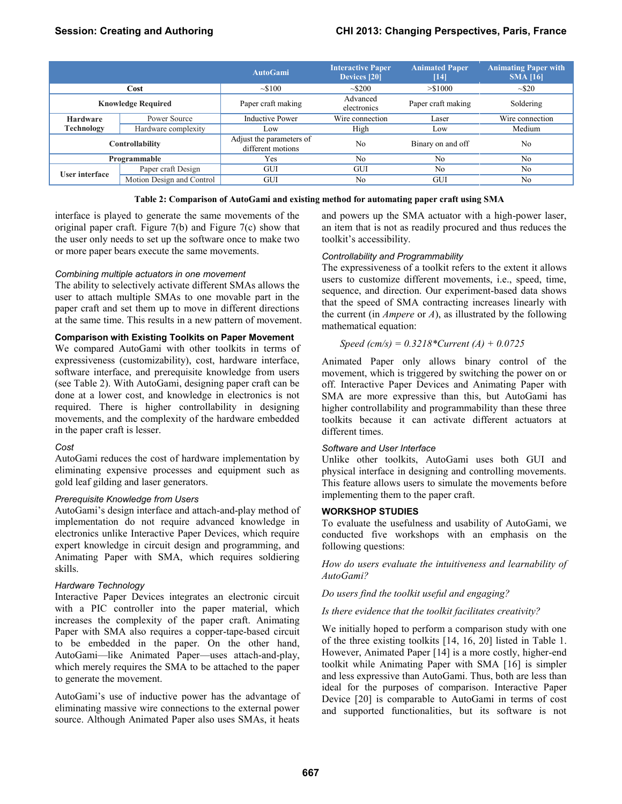|                       |                           | <b>AutoGami</b>                               | <b>Interactive Paper</b><br><b>Devices</b> [20] | <b>Animated Paper</b><br> 14 | <b>Animating Paper with</b><br><b>SMA</b> [16] |
|-----------------------|---------------------------|-----------------------------------------------|-------------------------------------------------|------------------------------|------------------------------------------------|
|                       | Cost                      | $\sim 100$                                    | $\sim 200$                                      | > \$1000                     | $\sim$ \$20                                    |
|                       | <b>Knowledge Required</b> | Paper craft making                            | Advanced<br>electronics                         | Paper craft making           | Soldering                                      |
| <b>Hardware</b>       | Power Source              | <b>Inductive Power</b>                        | Wire connection                                 | Laser                        | Wire connection                                |
| Technology            | Hardware complexity       | Low                                           | High                                            | Low                          | Medium                                         |
| Controllability       |                           | Adjust the parameters of<br>different motions | No                                              | Binary on and off            | No                                             |
|                       | Programmable              | Yes                                           | No                                              | No                           | No                                             |
| <b>User interface</b> | Paper craft Design        | <b>GUI</b>                                    | <b>GUI</b>                                      | No                           | No                                             |
|                       | Motion Design and Control | <b>GUI</b>                                    | No                                              | <b>GUI</b>                   | No                                             |

## **Table 2: Comparison of AutoGami and existing method for automating paper craft using SMA**

interface is played to generate the same movements of the original paper craft. Figure 7(b) and Figure 7(c) show that the user only needs to set up the software once to make two or more paper bears execute the same movements.

## *Combining multiple actuators in one movement*

The ability to selectively activate different SMAs allows the user to attach multiple SMAs to one movable part in the paper craft and set them up to move in different directions at the same time. This results in a new pattern of movement.

## **Comparison with Existing Toolkits on Paper Movement**

We compared AutoGami with other toolkits in terms of expressiveness (customizability), cost, hardware interface, software interface, and prerequisite knowledge from users (see Table 2). With AutoGami, designing paper craft can be done at a lower cost, and knowledge in electronics is not required. There is higher controllability in designing movements, and the complexity of the hardware embedded in the paper craft is lesser.

## *Cost*

AutoGami reduces the cost of hardware implementation by eliminating expensive processes and equipment such as gold leaf gilding and laser generators.

## *Prerequisite Knowledge from Users*

AutoGami's design interface and attach-and-play method of implementation do not require advanced knowledge in electronics unlike Interactive Paper Devices, which require expert knowledge in circuit design and programming, and Animating Paper with SMA, which requires soldiering skills.

# *Hardware Technology*

Interactive Paper Devices integrates an electronic circuit with a PIC controller into the paper material, which increases the complexity of the paper craft. Animating Paper with SMA also requires a copper-tape-based circuit to be embedded in the paper. On the other hand, AutoGami—like Animated Paper—uses attach-and-play, which merely requires the SMA to be attached to the paper to generate the movement.

AutoGami's use of inductive power has the advantage of eliminating massive wire connections to the external power source. Although Animated Paper also uses SMAs, it heats

and powers up the SMA actuator with a high-power laser, an item that is not as readily procured and thus reduces the toolkit's accessibility.

# *Controllability and Programmability*

The expressiveness of a toolkit refers to the extent it allows users to customize different movements, i.e., speed, time, sequence, and direction. Our experiment-based data shows that the speed of SMA contracting increases linearly with the current (in *Ampere* or *A*), as illustrated by the following mathematical equation:

# *Speed (cm/s) = 0.3218\*Current (A) + 0.0725*

Animated Paper only allows binary control of the movement, which is triggered by switching the power on or off. Interactive Paper Devices and Animating Paper with SMA are more expressive than this, but AutoGami has higher controllability and programmability than these three toolkits because it can activate different actuators at different times.

## *Software and User Interface*

Unlike other toolkits, AutoGami uses both GUI and physical interface in designing and controlling movements. This feature allows users to simulate the movements before implementing them to the paper craft.

## **WORKSHOP STUDIES**

To evaluate the usefulness and usability of AutoGami, we conducted five workshops with an emphasis on the following questions:

*How do users evaluate the intuitiveness and learnability of AutoGami?* 

*Do users find the toolkit useful and engaging?* 

*Is there evidence that the toolkit facilitates creativity?* 

We initially hoped to perform a comparison study with one of the three existing toolkits [\[14,](#page-9-8) [16,](#page-9-2) [20\]](#page-9-10) listed in Table 1. However, Animated Paper [\[14\]](#page-9-8) is a more costly, higher-end toolkit while Animating Paper with SMA [\[16\]](#page-9-2) is simpler and less expressive than AutoGami. Thus, both are less than ideal for the purposes of comparison. Interactive Paper Device [\[20\]](#page-9-10) is comparable to AutoGami in terms of cost and supported functionalities, but its software is not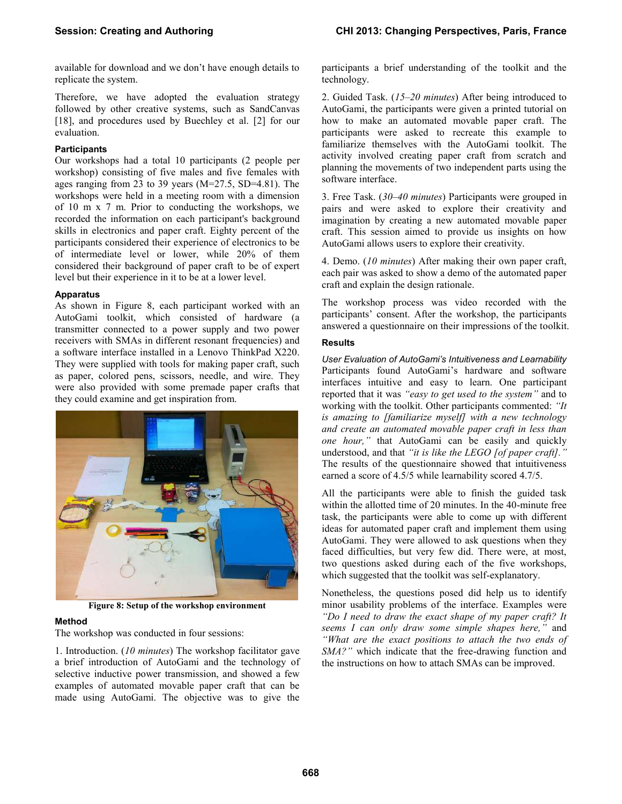available for download and we don't have enough details to replicate the system.

Therefore, we have adopted the evaluation strategy followed by other creative systems, such as SandCanvas [\[18\]](#page-9-19), and procedures used by Buechley et al. [\[2\]](#page-9-28) for our evaluation.

## **Participants**

Our workshops had a total 10 participants (2 people per workshop) consisting of five males and five females with ages ranging from 23 to 39 years (M=27.5, SD=4.81). The workshops were held in a meeting room with a dimension of 10 m x 7 m. Prior to conducting the workshops, we recorded the information on each participant's background skills in electronics and paper craft. Eighty percent of the participants considered their experience of electronics to be of intermediate level or lower, while 20% of them considered their background of paper craft to be of expert level but their experience in it to be at a lower level.

#### **Apparatus**

As shown in Figure 8, each participant worked with an AutoGami toolkit, which consisted of hardware (a transmitter connected to a power supply and two power receivers with SMAs in different resonant frequencies) and a software interface installed in a Lenovo ThinkPad X220. They were supplied with tools for making paper craft, such as paper, colored pens, scissors, needle, and wire. They were also provided with some premade paper crafts that they could examine and get inspiration from.



**Figure 8: Setup of the workshop environment** 

## **Method**

The workshop was conducted in four sessions:

1. Introduction. (*10 minutes*) The workshop facilitator gave a brief introduction of AutoGami and the technology of selective inductive power transmission, and showed a few examples of automated movable paper craft that can be made using AutoGami. The objective was to give the

participants a brief understanding of the toolkit and the technology.

2. Guided Task. (*15–20 minutes*) After being introduced to AutoGami, the participants were given a printed tutorial on how to make an automated movable paper craft. The participants were asked to recreate this example to familiarize themselves with the AutoGami toolkit. The activity involved creating paper craft from scratch and planning the movements of two independent parts using the software interface.

3. Free Task. (*30–40 minutes*) Participants were grouped in pairs and were asked to explore their creativity and imagination by creating a new automated movable paper craft. This session aimed to provide us insights on how AutoGami allows users to explore their creativity.

4. Demo. (*10 minutes*) After making their own paper craft, each pair was asked to show a demo of the automated paper craft and explain the design rationale.

The workshop process was video recorded with the participants' consent. After the workshop, the participants answered a questionnaire on their impressions of the toolkit.

## **Results**

*User Evaluation of AutoGami's Intuitiveness and Learnability*  Participants found AutoGami's hardware and software interfaces intuitive and easy to learn. One participant reported that it was *"easy to get used to the system"* and to working with the toolkit. Other participants commented: *"It is amazing to [familiarize myself] with a new technology and create an automated movable paper craft in less than one hour,"* that AutoGami can be easily and quickly understood, and that *"it is like the LEGO [of paper craft]."* The results of the questionnaire showed that intuitiveness earned a score of 4.5/5 while learnability scored 4.7/5.

All the participants were able to finish the guided task within the allotted time of 20 minutes. In the 40-minute free task, the participants were able to come up with different ideas for automated paper craft and implement them using AutoGami. They were allowed to ask questions when they faced difficulties, but very few did. There were, at most, two questions asked during each of the five workshops, which suggested that the toolkit was self-explanatory.

Nonetheless, the questions posed did help us to identify minor usability problems of the interface. Examples were *"Do I need to draw the exact shape of my paper craft? It seems I can only draw some simple shapes here,"* and *"What are the exact positions to attach the two ends of SMA?"* which indicate that the free-drawing function and the instructions on how to attach SMAs can be improved.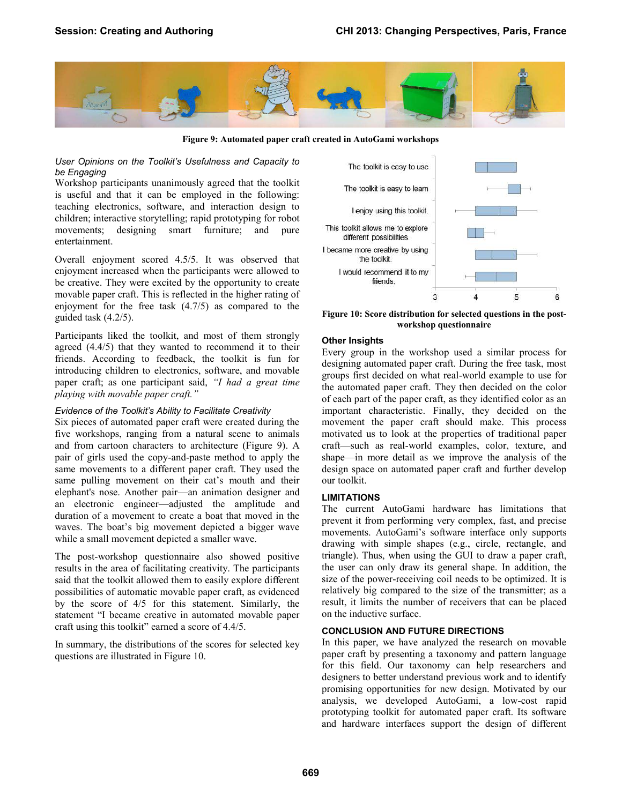

**Figure 9: Automated paper craft created in AutoGami workshops** 

#### *User Opinions on the Toolkit's Usefulness and Capacity to be Engaging*

Workshop participants unanimously agreed that the toolkit is useful and that it can be employed in the following: teaching electronics, software, and interaction design to children; interactive storytelling; rapid prototyping for robot movements; designing smart furniture; and pure entertainment.

Overall enjoyment scored 4.5/5. It was observed that enjoyment increased when the participants were allowed to be creative. They were excited by the opportunity to create movable paper craft. This is reflected in the higher rating of enjoyment for the free task (4.7/5) as compared to the guided task (4.2/5).

Participants liked the toolkit, and most of them strongly agreed (4.4/5) that they wanted to recommend it to their friends. According to feedback, the toolkit is fun for introducing children to electronics, software, and movable paper craft; as one participant said, *"I had a great time playing with movable paper craft."*

# *Evidence of the Toolkit's Ability to Facilitate Creativity*

Six pieces of automated paper craft were created during the five workshops, ranging from a natural scene to animals and from cartoon characters to architecture (Figure 9). A pair of girls used the copy-and-paste method to apply the same movements to a different paper craft. They used the same pulling movement on their cat's mouth and their elephant's nose. Another pair—an animation designer and an electronic engineer—adjusted the amplitude and duration of a movement to create a boat that moved in the waves. The boat's big movement depicted a bigger wave while a small movement depicted a smaller wave.

The post-workshop questionnaire also showed positive results in the area of facilitating creativity. The participants said that the toolkit allowed them to easily explore different possibilities of automatic movable paper craft, as evidenced by the score of 4/5 for this statement. Similarly, the statement "I became creative in automated movable paper craft using this toolkit" earned a score of 4.4/5.

In summary, the distributions of the scores for selected key questions are illustrated in Figure 10.



**Figure 10: Score distribution for selected questions in the postworkshop questionnaire** 

# **Other Insights**

Every group in the workshop used a similar process for designing automated paper craft. During the free task, most groups first decided on what real-world example to use for the automated paper craft. They then decided on the color of each part of the paper craft, as they identified color as an important characteristic. Finally, they decided on the movement the paper craft should make. This process motivated us to look at the properties of traditional paper craft—such as real-world examples, color, texture, and shape—in more detail as we improve the analysis of the design space on automated paper craft and further develop our toolkit.

# **LIMITATIONS**

The current AutoGami hardware has limitations that prevent it from performing very complex, fast, and precise movements. AutoGami's software interface only supports drawing with simple shapes (e.g., circle, rectangle, and triangle). Thus, when using the GUI to draw a paper craft, the user can only draw its general shape. In addition, the size of the power-receiving coil needs to be optimized. It is relatively big compared to the size of the transmitter; as a result, it limits the number of receivers that can be placed on the inductive surface.

# **CONCLUSION AND FUTURE DIRECTIONS**

In this paper, we have analyzed the research on movable paper craft by presenting a taxonomy and pattern language for this field. Our taxonomy can help researchers and designers to better understand previous work and to identify promising opportunities for new design. Motivated by our analysis, we developed AutoGami, a low-cost rapid prototyping toolkit for automated paper craft. Its software and hardware interfaces support the design of different